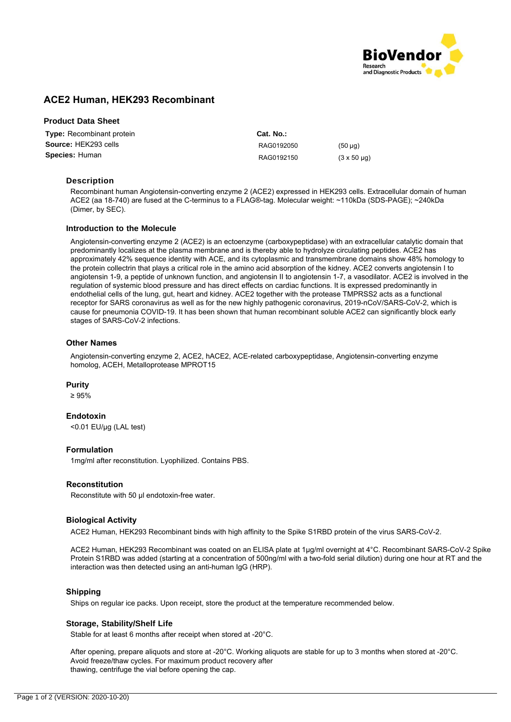

# **ACE2 Human, HEK293 Recombinant**

| <b>Product Data Sheet</b> |  |  |
|---------------------------|--|--|
|---------------------------|--|--|

| <b>Type:</b> Recombinant protein |  |  |  |  |  |
|----------------------------------|--|--|--|--|--|
| Source: HEK293 cells             |  |  |  |  |  |
| <b>Species: Human</b>            |  |  |  |  |  |

**Cat. No.:** RAG0192050 (50 µg) RAG0192150 (3 x 50 µg)

### **Description**

Recombinant human Angiotensin-converting enzyme 2 (ACE2) expressed in HEK293 cells. Extracellular domain of human ACE2 (aa 18-740) are fused at the C-terminus to a FLAG®-tag. Molecular weight: ~110kDa (SDS-PAGE); ~240kDa (Dimer, by SEC).

#### **Introduction to the Molecule**

Angiotensin-converting enzyme 2 (ACE2) is an ectoenzyme (carboxypeptidase) with an extracellular catalytic domain that predominantly localizes at the plasma membrane and is thereby able to hydrolyze circulating peptides. ACE2 has approximately 42% sequence identity with ACE, and its cytoplasmic and transmembrane domains show 48% homology to the protein collectrin that plays a critical role in the amino acid absorption of the kidney. ACE2 converts angiotensin I to angiotensin 1-9, a peptide of unknown function, and angiotensin II to angiotensin 1-7, a vasodilator. ACE2 is involved in the regulation of systemic blood pressure and has direct effects on cardiac functions. It is expressed predominantly in endothelial cells of the lung, gut, heart and kidney. ACE2 together with the protease TMPRSS2 acts as a functional receptor for SARS coronavirus as well as for the new highly pathogenic coronavirus, 2019-nCoV/SARS-CoV-2, which is cause for pneumonia COVID-19. It has been shown that human recombinant soluble ACE2 can significantly block early stages of SARS-CoV-2 infections.

#### **Other Names**

Angiotensin-converting enzyme 2, ACE2, hACE2, ACE-related carboxypeptidase, Angiotensin-converting enzyme homolog, ACEH, Metalloprotease MPROT15

#### **Purity**

≥ 95%

#### **Endotoxin**

<0.01 EU/μg (LAL test)

#### **Formulation**

1mg/ml after reconstitution. Lyophilized. Contains PBS.

#### **Reconstitution**

Reconstitute with 50 μl endotoxin-free water.

#### **Biological Activity**

ACE2 Human, HEK293 Recombinant binds with high affinity to the Spike S1RBD protein of the virus SARS-CoV-2.

ACE2 Human, HEK293 Recombinant was coated on an ELISA plate at 1μg/ml overnight at 4°C. Recombinant SARS-CoV-2 Spike Protein S1RBD was added (starting at a concentration of 500ng/ml with a two-fold serial dilution) during one hour at RT and the interaction was then detected using an anti-human IgG (HRP).

#### **Shipping**

Ships on regular ice packs. Upon receipt, store the product at the temperature recommended below.

#### **Storage, Stability/Shelf Life**

Stable for at least 6 months after receipt when stored at -20°C.

After opening, prepare aliquots and store at -20°C. Working aliquots are stable for up to 3 months when stored at -20°C. Avoid freeze/thaw cycles. For maximum product recovery after thawing, centrifuge the vial before opening the cap.